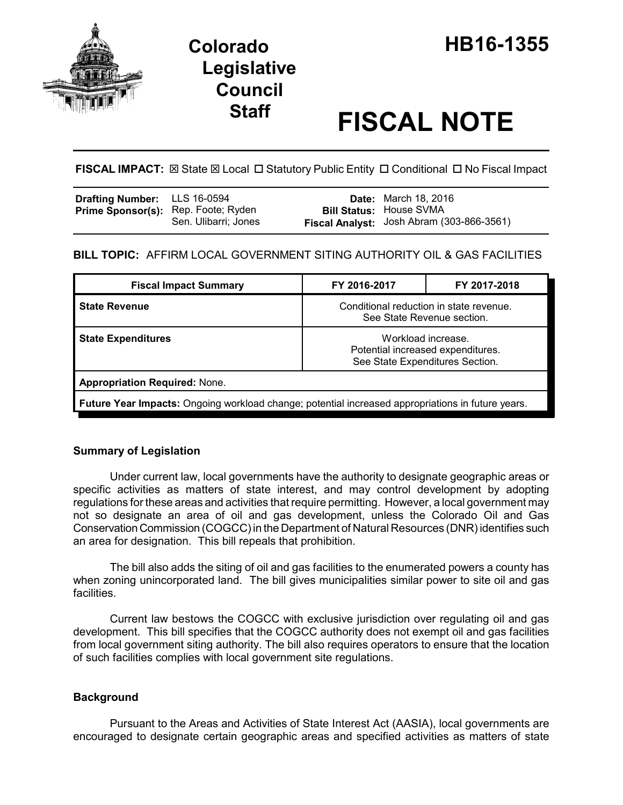

# **Staff FISCAL NOTE**

**FISCAL IMPACT:** ⊠ State ⊠ Local □ Statutory Public Entity □ Conditional □ No Fiscal Impact

| <b>Drafting Number:</b> LLS 16-0594        |                      | <b>Date:</b> March 18, 2016               |
|--------------------------------------------|----------------------|-------------------------------------------|
| <b>Prime Sponsor(s):</b> Rep. Foote; Ryden |                      | <b>Bill Status: House SVMA</b>            |
|                                            | Sen. Ulibarri: Jones | Fiscal Analyst: Josh Abram (303-866-3561) |

# **BILL TOPIC:** AFFIRM LOCAL GOVERNMENT SITING AUTHORITY OIL & GAS FACILITIES

| <b>Fiscal Impact Summary</b>                                                                             | FY 2016-2017                                                                               | FY 2017-2018 |  |  |
|----------------------------------------------------------------------------------------------------------|--------------------------------------------------------------------------------------------|--------------|--|--|
| <b>State Revenue</b>                                                                                     | Conditional reduction in state revenue.<br>See State Revenue section.                      |              |  |  |
| <b>State Expenditures</b>                                                                                | Workload increase.<br>Potential increased expenditures.<br>See State Expenditures Section. |              |  |  |
| <b>Appropriation Required: None.</b>                                                                     |                                                                                            |              |  |  |
| <b>Future Year Impacts:</b> Ongoing workload change; potential increased appropriations in future years. |                                                                                            |              |  |  |

# **Summary of Legislation**

Under current law, local governments have the authority to designate geographic areas or specific activities as matters of state interest, and may control development by adopting regulations for these areas and activities that require permitting. However, a local government may not so designate an area of oil and gas development, unless the Colorado Oil and Gas Conservation Commission (COGCC) in the Department of Natural Resources (DNR) identifies such an area for designation. This bill repeals that prohibition.

The bill also adds the siting of oil and gas facilities to the enumerated powers a county has when zoning unincorporated land. The bill gives municipalities similar power to site oil and gas facilities.

Current law bestows the COGCC with exclusive jurisdiction over regulating oil and gas development. This bill specifies that the COGCC authority does not exempt oil and gas facilities from local government siting authority. The bill also requires operators to ensure that the location of such facilities complies with local government site regulations.

## **Background**

Pursuant to the Areas and Activities of State Interest Act (AASIA), local governments are encouraged to designate certain geographic areas and specified activities as matters of state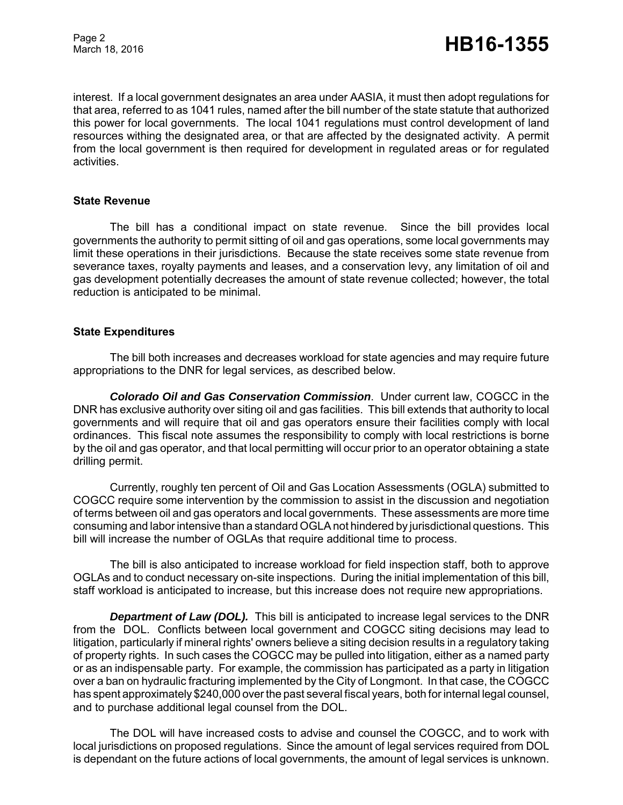interest. If a local government designates an area under AASIA, it must then adopt regulations for that area, referred to as 1041 rules, named after the bill number of the state statute that authorized this power for local governments. The local 1041 regulations must control development of land resources withing the designated area, or that are affected by the designated activity. A permit from the local government is then required for development in regulated areas or for regulated activities.

### **State Revenue**

The bill has a conditional impact on state revenue. Since the bill provides local governments the authority to permit sitting of oil and gas operations, some local governments may limit these operations in their jurisdictions. Because the state receives some state revenue from severance taxes, royalty payments and leases, and a conservation levy, any limitation of oil and gas development potentially decreases the amount of state revenue collected; however, the total reduction is anticipated to be minimal.

## **State Expenditures**

The bill both increases and decreases workload for state agencies and may require future appropriations to the DNR for legal services, as described below.

*Colorado Oil and Gas Conservation Commission*. Under current law, COGCC in the DNR has exclusive authority over siting oil and gas facilities. This bill extends that authority to local governments and will require that oil and gas operators ensure their facilities comply with local ordinances. This fiscal note assumes the responsibility to comply with local restrictions is borne by the oil and gas operator, and that local permitting will occur prior to an operator obtaining a state drilling permit.

Currently, roughly ten percent of Oil and Gas Location Assessments (OGLA) submitted to COGCC require some intervention by the commission to assist in the discussion and negotiation of terms between oil and gas operators and local governments. These assessments are more time consuming and labor intensive than a standard OGLA not hindered by jurisdictional questions. This bill will increase the number of OGLAs that require additional time to process.

The bill is also anticipated to increase workload for field inspection staff, both to approve OGLAs and to conduct necessary on-site inspections. During the initial implementation of this bill, staff workload is anticipated to increase, but this increase does not require new appropriations.

*Department of Law (DOL).* This bill is anticipated to increase legal services to the DNR from the DOL. Conflicts between local government and COGCC siting decisions may lead to litigation, particularly if mineral rights' owners believe a siting decision results in a regulatory taking of property rights. In such cases the COGCC may be pulled into litigation, either as a named party or as an indispensable party. For example, the commission has participated as a party in litigation over a ban on hydraulic fracturing implemented by the City of Longmont. In that case, the COGCC has spent approximately \$240,000 over the past several fiscal years, both for internal legal counsel, and to purchase additional legal counsel from the DOL.

The DOL will have increased costs to advise and counsel the COGCC, and to work with local jurisdictions on proposed regulations. Since the amount of legal services required from DOL is dependant on the future actions of local governments, the amount of legal services is unknown.